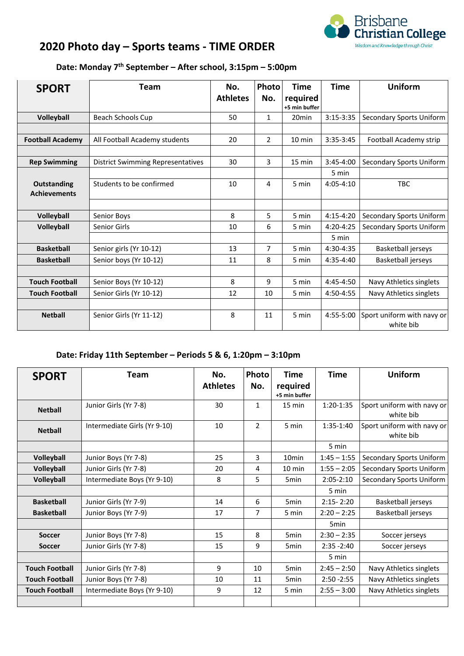

## **2020 Photo day – Sports teams ‐ TIME ORDER**

## **Date: Monday 7th September – After school, 3:15pm – 5:00pm**

| <b>SPORT</b>            | Team                                     | No.             | Photo          | <b>Time</b>               | <b>Time</b>   | <b>Uniform</b>                          |
|-------------------------|------------------------------------------|-----------------|----------------|---------------------------|---------------|-----------------------------------------|
|                         |                                          | <b>Athletes</b> | No.            | required<br>+5 min buffer |               |                                         |
| Volleyball              | Beach Schools Cup                        | 50              | $\mathbf{1}$   | 20 <sub>min</sub>         | $3:15 - 3:35$ | <b>Secondary Sports Uniform</b>         |
|                         |                                          |                 |                |                           |               |                                         |
| <b>Football Academy</b> | All Football Academy students            | 20              | $\overline{2}$ | $10 \text{ min}$          | $3:35-3:45$   | Football Academy strip                  |
|                         |                                          |                 |                |                           |               |                                         |
| <b>Rep Swimming</b>     | <b>District Swimming Representatives</b> | 30              | 3              | 15 min                    | $3:45-4:00$   | Secondary Sports Uniform                |
|                         |                                          |                 |                |                           | 5 min         |                                         |
| Outstanding             | Students to be confirmed                 | 10              | 4              | 5 min                     | $4:05 - 4:10$ | <b>TBC</b>                              |
| <b>Achievements</b>     |                                          |                 |                |                           |               |                                         |
|                         |                                          |                 |                |                           |               |                                         |
| Volleyball              | Senior Boys                              | 8               | 5              | 5 min                     | $4:15-4:20$   | <b>Secondary Sports Uniform</b>         |
| <b>Volleyball</b>       | <b>Senior Girls</b>                      | 10              | 6              | 5 min                     | $4:20 - 4:25$ | Secondary Sports Uniform                |
|                         |                                          |                 |                |                           | 5 min         |                                         |
| <b>Basketball</b>       | Senior girls (Yr 10-12)                  | 13              | $\overline{7}$ | 5 min                     | 4:30-4:35     | Basketball jerseys                      |
| <b>Basketball</b>       | Senior boys (Yr 10-12)                   | 11              | 8              | 5 min                     | $4:35-4:40$   | Basketball jerseys                      |
|                         |                                          |                 |                |                           |               |                                         |
| <b>Touch Football</b>   | Senior Boys (Yr 10-12)                   | 8               | 9              | 5 min                     | $4:45-4:50$   | Navy Athletics singlets                 |
| <b>Touch Football</b>   | Senior Girls (Yr 10-12)                  | 12              | 10             | 5 min                     | 4:50-4:55     | Navy Athletics singlets                 |
|                         |                                          |                 |                |                           |               |                                         |
| <b>Netball</b>          | Senior Girls (Yr 11-12)                  | 8               | 11             | 5 min                     | 4:55-5:00     | Sport uniform with navy or<br>white bib |

## **Date: Friday 11th September – Periods 5 & 6, 1:20pm – 3:10pm**

| <b>SPORT</b>          | Team                         | No.<br><b>Athletes</b> | Photo<br>No.   | <b>Time</b><br>required<br>+5 min buffer | <b>Time</b>   | <b>Uniform</b>                          |
|-----------------------|------------------------------|------------------------|----------------|------------------------------------------|---------------|-----------------------------------------|
| <b>Netball</b>        | Junior Girls (Yr 7-8)        | 30                     | 1              | 15 min                                   | $1:20-1:35$   | Sport uniform with navy or<br>white bib |
| <b>Netball</b>        | Intermediate Girls (Yr 9-10) | 10                     | $\overline{2}$ | 5 min                                    | $1:35-1:40$   | Sport uniform with navy or<br>white bib |
|                       |                              |                        |                |                                          | 5 min         |                                         |
| Volleyball            | Junior Boys (Yr 7-8)         | 25                     | 3              | 10 <sub>min</sub>                        | $1:45 - 1:55$ | Secondary Sports Uniform                |
| Volleyball            | Junior Girls (Yr 7-8)        | 20                     | 4              | $10 \text{ min}$                         | $1:55 - 2:05$ | Secondary Sports Uniform                |
| Volleyball            | Intermediate Boys (Yr 9-10)  | 8                      | 5              | 5 <sub>min</sub>                         | $2:05 - 2:10$ | Secondary Sports Uniform                |
|                       |                              |                        |                |                                          | 5 min         |                                         |
| <b>Basketball</b>     | Junior Girls (Yr 7-9)        | 14                     | 6              | 5 <sub>min</sub>                         | $2:15 - 2:20$ | Basketball jerseys                      |
| <b>Basketball</b>     | Junior Boys (Yr 7-9)         | 17                     | $\overline{7}$ | 5 min                                    | $2:20 - 2:25$ | Basketball jerseys                      |
|                       |                              |                        |                |                                          | 5min          |                                         |
| <b>Soccer</b>         | Junior Boys (Yr 7-8)         | 15                     | 8              | 5 <sub>min</sub>                         | $2:30 - 2:35$ | Soccer jerseys                          |
| <b>Soccer</b>         | Junior Girls (Yr 7-8)        | 15                     | 9              | 5 <sub>min</sub>                         | $2:35 - 2:40$ | Soccer jerseys                          |
|                       |                              |                        |                |                                          | 5 min         |                                         |
| <b>Touch Football</b> | Junior Girls (Yr 7-8)        | 9                      | 10             | 5 <sub>min</sub>                         | $2:45 - 2:50$ | Navy Athletics singlets                 |
| <b>Touch Football</b> | Junior Boys (Yr 7-8)         | 10                     | 11             | 5 <sub>min</sub>                         | $2:50 - 2:55$ | Navy Athletics singlets                 |
| <b>Touch Football</b> | Intermediate Boys (Yr 9-10)  | 9                      | 12             | 5 min                                    | $2:55 - 3:00$ | Navy Athletics singlets                 |
|                       |                              |                        |                |                                          |               |                                         |